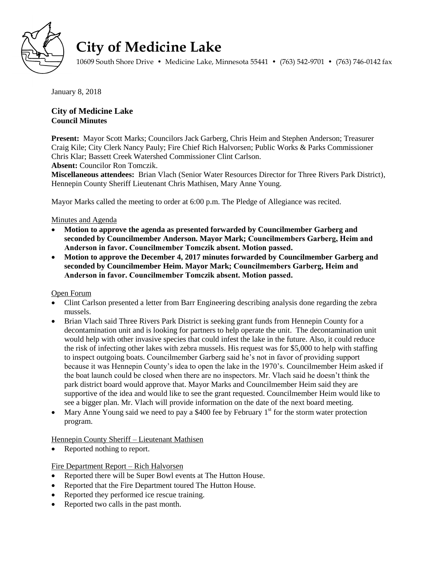

# **City of Medicine Lake**

10609 South Shore Drive • Medicine Lake, Minnesota 55441 • (763) 542-9701 • (763) 746-0142 fax

January 8, 2018

# **City of Medicine Lake Council Minutes**

**Present:** Mayor Scott Marks; Councilors Jack Garberg, Chris Heim and Stephen Anderson; Treasurer Craig Kile; City Clerk Nancy Pauly; Fire Chief Rich Halvorsen; Public Works & Parks Commissioner Chris Klar; Bassett Creek Watershed Commissioner Clint Carlson.

**Absent:** Councilor Ron Tomczik.

**Miscellaneous attendees:** Brian Vlach (Senior Water Resources Director for Three Rivers Park District), Hennepin County Sheriff Lieutenant Chris Mathisen, Mary Anne Young.

Mayor Marks called the meeting to order at 6:00 p.m. The Pledge of Allegiance was recited.

# Minutes and Agenda

- **Motion to approve the agenda as presented forwarded by Councilmember Garberg and seconded by Councilmember Anderson. Mayor Mark; Councilmembers Garberg, Heim and Anderson in favor. Councilmember Tomczik absent. Motion passed.**
- **Motion to approve the December 4, 2017 minutes forwarded by Councilmember Garberg and seconded by Councilmember Heim. Mayor Mark; Councilmembers Garberg, Heim and Anderson in favor. Councilmember Tomczik absent. Motion passed.**

## Open Forum

- Clint Carlson presented a letter from Barr Engineering describing analysis done regarding the zebra mussels.
- Brian Vlach said Three Rivers Park District is seeking grant funds from Hennepin County for a decontamination unit and is looking for partners to help operate the unit. The decontamination unit would help with other invasive species that could infest the lake in the future. Also, it could reduce the risk of infecting other lakes with zebra mussels. His request was for \$5,000 to help with staffing to inspect outgoing boats. Councilmember Garberg said he's not in favor of providing support because it was Hennepin County's idea to open the lake in the 1970's. Councilmember Heim asked if the boat launch could be closed when there are no inspectors. Mr. Vlach said he doesn't think the park district board would approve that. Mayor Marks and Councilmember Heim said they are supportive of the idea and would like to see the grant requested. Councilmember Heim would like to see a bigger plan. Mr. Vlach will provide information on the date of the next board meeting.
- Mary Anne Young said we need to pay a \$400 fee by February  $1<sup>st</sup>$  for the storm water protection program.

Hennepin County Sheriff – Lieutenant Mathisen

Reported nothing to report.

## Fire Department Report – Rich Halvorsen

- Reported there will be Super Bowl events at The Hutton House.
- Reported that the Fire Department toured The Hutton House.
- Reported they performed ice rescue training.
- Reported two calls in the past month.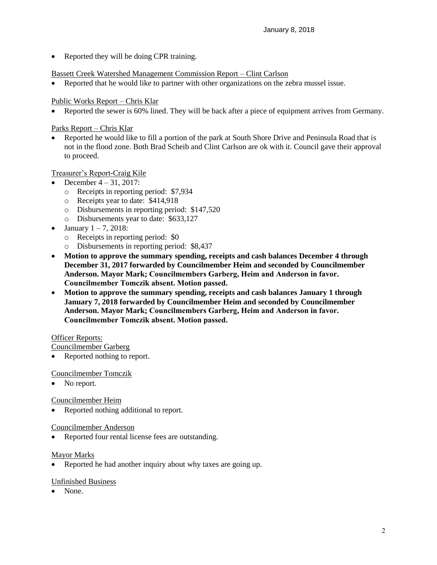• Reported they will be doing CPR training.

## Bassett Creek Watershed Management Commission Report – Clint Carlson

Reported that he would like to partner with other organizations on the zebra mussel issue.

## Public Works Report – Chris Klar

Reported the sewer is 60% lined. They will be back after a piece of equipment arrives from Germany.

## Parks Report – Chris Klar

 Reported he would like to fill a portion of the park at South Shore Drive and Peninsula Road that is not in the flood zone. Both Brad Scheib and Clint Carlson are ok with it. Council gave their approval to proceed.

# Treasurer's Report-Craig Kile

- December 4 31, 2017:
	- o Receipts in reporting period: \$7,934
	- o Receipts year to date: \$414,918
	- o Disbursements in reporting period: \$147,520
	- o Disbursements year to date: \$633,127
- January  $1 7$ , 2018:
	- o Receipts in reporting period: \$0
	- o Disbursements in reporting period: \$8,437
- **Motion to approve the summary spending, receipts and cash balances December 4 through December 31, 2017 forwarded by Councilmember Heim and seconded by Councilmember Anderson. Mayor Mark; Councilmembers Garberg, Heim and Anderson in favor. Councilmember Tomczik absent. Motion passed.**
- **Motion to approve the summary spending, receipts and cash balances January 1 through January 7, 2018 forwarded by Councilmember Heim and seconded by Councilmember Anderson. Mayor Mark; Councilmembers Garberg, Heim and Anderson in favor. Councilmember Tomczik absent. Motion passed.**

## Officer Reports:

Councilmember Garberg

• Reported nothing to report.

## Councilmember Tomczik

No report.

## Councilmember Heim

Reported nothing additional to report.

## Councilmember Anderson

Reported four rental license fees are outstanding.

## Mayor Marks

• Reported he had another inquiry about why taxes are going up.

## Unfinished Business

None.